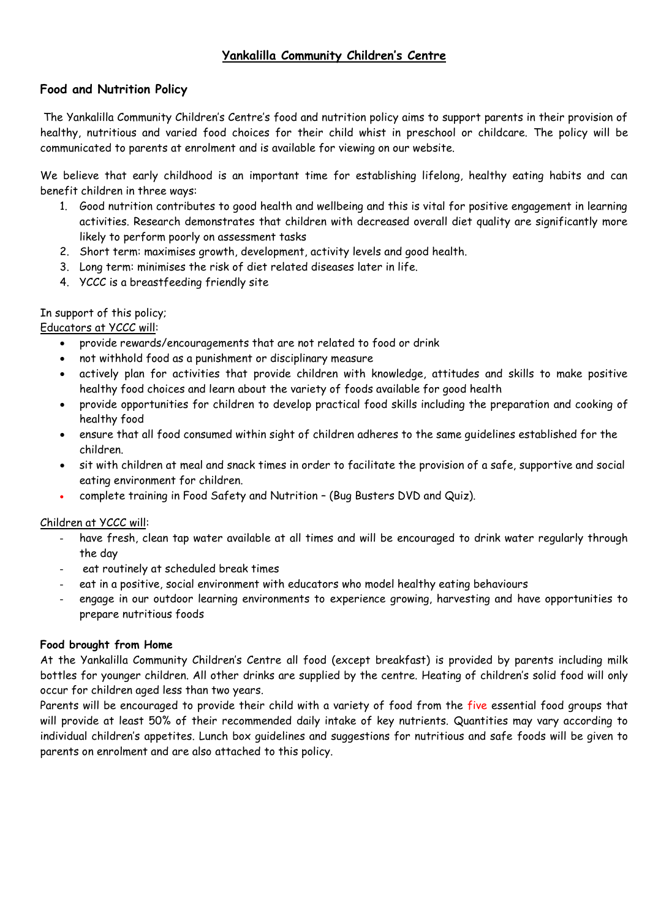# **Yankalilla Community Children's Centre**

# **Food and Nutrition Policy**

The Yankalilla Community Children's Centre's food and nutrition policy aims to support parents in their provision of healthy, nutritious and varied food choices for their child whist in preschool or childcare. The policy will be communicated to parents at enrolment and is available for viewing on our website.

We believe that early childhood is an important time for establishing lifelong, healthy eating habits and can benefit children in three ways:

- 1. Good nutrition contributes to good health and wellbeing and this is vital for positive engagement in learning activities. Research demonstrates that children with decreased overall diet quality are significantly more likely to perform poorly on assessment tasks
- 2. Short term: maximises growth, development, activity levels and good health.
- 3. Long term: minimises the risk of diet related diseases later in life.
- 4. YCCC is a breastfeeding friendly site

# In support of this policy;

## Educators at YCCC will:

- provide rewards/encouragements that are not related to food or drink
- not withhold food as a punishment or disciplinary measure
- actively plan for activities that provide children with knowledge, attitudes and skills to make positive healthy food choices and learn about the variety of foods available for good health
- provide opportunities for children to develop practical food skills including the preparation and cooking of healthy food
- ensure that all food consumed within sight of children adheres to the same guidelines established for the children.
- sit with children at meal and snack times in order to facilitate the provision of a safe, supportive and social eating environment for children.
- complete training in Food Safety and Nutrition (Bug Busters DVD and Quiz).

## Children at YCCC will:

- have fresh, clean tap water available at all times and will be encouraged to drink water regularly through the day
- eat routinely at scheduled break times
- eat in a positive, social environment with educators who model healthy eating behaviours
- engage in our outdoor learning environments to experience growing, harvesting and have opportunities to prepare nutritious foods

## **Food brought from Home**

At the Yankalilla Community Children's Centre all food (except breakfast) is provided by parents including milk bottles for younger children. All other drinks are supplied by the centre. Heating of children's solid food will only occur for children aged less than two years.

Parents will be encouraged to provide their child with a variety of food from the five essential food groups that will provide at least 50% of their recommended daily intake of key nutrients. Quantities may vary according to individual children's appetites. Lunch box guidelines and suggestions for nutritious and safe foods will be given to parents on enrolment and are also attached to this policy.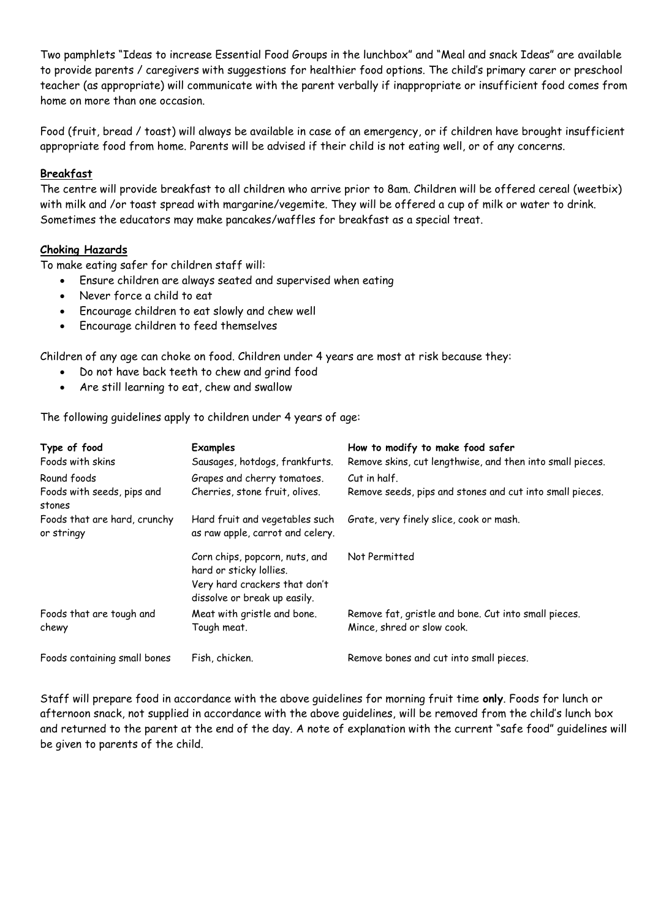Two pamphlets "Ideas to increase Essential Food Groups in the lunchbox" and "Meal and snack Ideas" are available to provide parents / caregivers with suggestions for healthier food options. The child's primary carer or preschool teacher (as appropriate) will communicate with the parent verbally if inappropriate or insufficient food comes from home on more than one occasion.

Food (fruit, bread / toast) will always be available in case of an emergency, or if children have brought insufficient appropriate food from home. Parents will be advised if their child is not eating well, or of any concerns.

## **Breakfast**

The centre will provide breakfast to all children who arrive prior to 8am. Children will be offered cereal (weetbix) with milk and /or toast spread with margarine/vegemite. They will be offered a cup of milk or water to drink. Sometimes the educators may make pancakes/waffles for breakfast as a special treat.

#### **Choking Hazards**

To make eating safer for children staff will:

- Ensure children are always seated and supervised when eating
- Never force a child to eat
- Encourage children to eat slowly and chew well
- Encourage children to feed themselves

Children of any age can choke on food. Children under 4 years are most at risk because they:

- Do not have back teeth to chew and grind food
- Are still learning to eat, chew and swallow

The following guidelines apply to children under 4 years of age:

| Type of food<br>Foods with skins           | <b>Examples</b><br>Sausages, hotdogs, frankfurts.                                                                          | How to modify to make food safer<br>Remove skins, cut lengthwise, and then into small pieces. |
|--------------------------------------------|----------------------------------------------------------------------------------------------------------------------------|-----------------------------------------------------------------------------------------------|
| Round foods                                | Grapes and cherry tomatoes.                                                                                                | Cut in half.                                                                                  |
| Foods with seeds, pips and<br>stones       | Cherries, stone fruit, olives.                                                                                             | Remove seeds, pips and stones and cut into small pieces.                                      |
| Foods that are hard, crunchy<br>or stringy | Hard fruit and vegetables such<br>as raw apple, carrot and celery.                                                         | Grate, very finely slice, cook or mash.                                                       |
|                                            | Corn chips, popcorn, nuts, and<br>hard or sticky lollies.<br>Very hard crackers that don't<br>dissolve or break up easily. | Not Permitted                                                                                 |
| Foods that are tough and<br>chewy          | Meat with gristle and bone.<br>Tough meat.                                                                                 | Remove fat, gristle and bone. Cut into small pieces.<br>Mince, shred or slow cook.            |
| Foods containing small bones               | Fish, chicken.                                                                                                             | Remove bones and cut into small pieces.                                                       |

Staff will prepare food in accordance with the above guidelines for morning fruit time **only**. Foods for lunch or afternoon snack, not supplied in accordance with the above guidelines, will be removed from the child's lunch box and returned to the parent at the end of the day. A note of explanation with the current "safe food" guidelines will be given to parents of the child.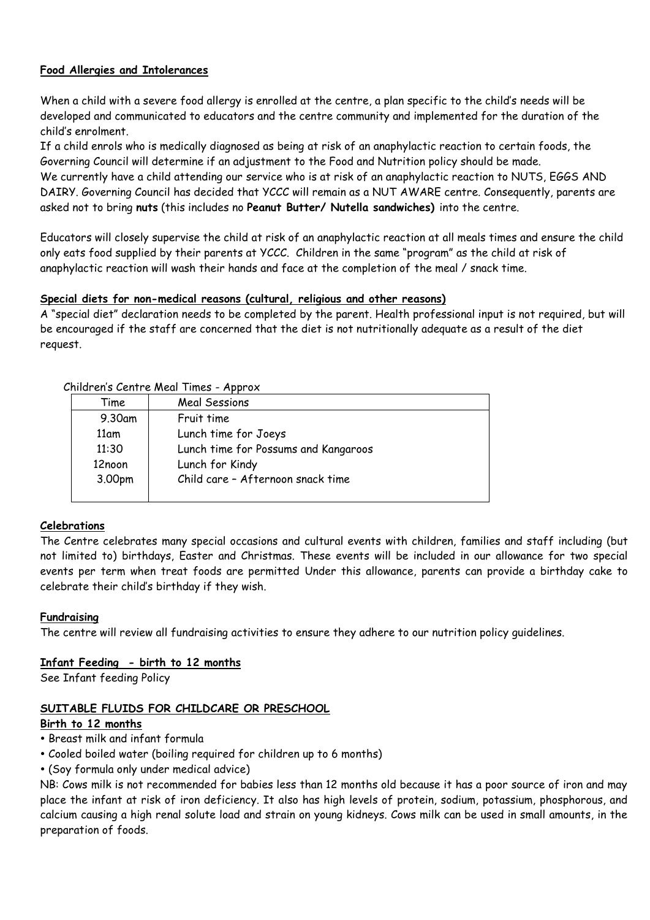# **Food Allergies and Intolerances**

When a child with a severe food allergy is enrolled at the centre, a plan specific to the child's needs will be developed and communicated to educators and the centre community and implemented for the duration of the child's enrolment.

If a child enrols who is medically diagnosed as being at risk of an anaphylactic reaction to certain foods, the Governing Council will determine if an adjustment to the Food and Nutrition policy should be made.

We currently have a child attending our service who is at risk of an anaphylactic reaction to NUTS, EGGS AND DAIRY. Governing Council has decided that YCCC will remain as a NUT AWARE centre. Consequently, parents are asked not to bring **nuts** (this includes no **Peanut Butter/ Nutella sandwiches)** into the centre.

Educators will closely supervise the child at risk of an anaphylactic reaction at all meals times and ensure the child only eats food supplied by their parents at YCCC. Children in the same "program" as the child at risk of anaphylactic reaction will wash their hands and face at the completion of the meal / snack time.

## **Special diets for non-medical reasons (cultural, religious and other reasons)**

A "special diet" declaration needs to be completed by the parent. Health professional input is not required, but will be encouraged if the staff are concerned that the diet is not nutritionally adequate as a result of the diet request.

| Time   | Meal Sessions                        |
|--------|--------------------------------------|
| 9.30am | Fruit time                           |
| 11am   | Lunch time for Joeys                 |
| 11:30  | Lunch time for Possums and Kangaroos |
| 12noon | Lunch for Kindy                      |
| 3.00pm | Child care - Afternoon snack time    |
|        |                                      |

## Children's Centre Meal Times - Approx

# **Celebrations**

The Centre celebrates many special occasions and cultural events with children, families and staff including (but not limited to) birthdays, Easter and Christmas. These events will be included in our allowance for two special events per term when treat foods are permitted Under this allowance, parents can provide a birthday cake to celebrate their child's birthday if they wish.

## **Fundraising**

The centre will review all fundraising activities to ensure they adhere to our nutrition policy guidelines.

## **Infant Feeding - birth to 12 months**

See Infant feeding Policy

# **SUITABLE FLUIDS FOR CHILDCARE OR PRESCHOOL**

## **Birth to 12 months**

- Breast milk and infant formula
- Cooled boiled water (boiling required for children up to 6 months)
- (Soy formula only under medical advice)

NB: Cows milk is not recommended for babies less than 12 months old because it has a poor source of iron and may place the infant at risk of iron deficiency. It also has high levels of protein, sodium, potassium, phosphorous, and calcium causing a high renal solute load and strain on young kidneys. Cows milk can be used in small amounts, in the preparation of foods.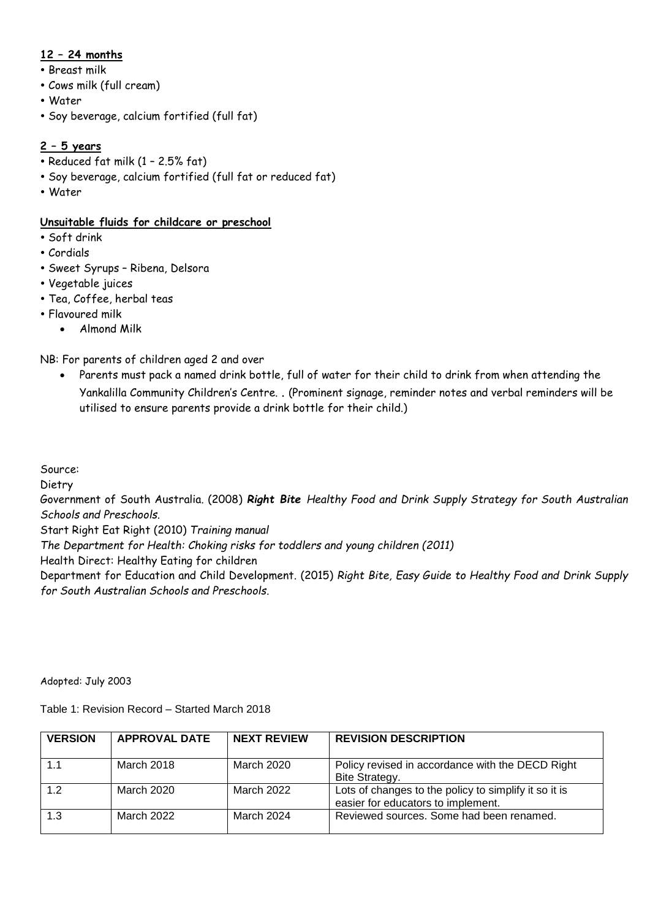# **12 – 24 months**

- Breast milk
- Cows milk (full cream)
- Water
- Soy beverage, calcium fortified (full fat)

# **2 – 5 years**

- Reduced fat milk (1 2.5% fat)
- Soy beverage, calcium fortified (full fat or reduced fat)
- Water

# **Unsuitable fluids for childcare or preschool**

- Soft drink
- Cordials
- Sweet Syrups Ribena, Delsora
- Vegetable juices
- Tea, Coffee, herbal teas
- Flavoured milk
	- Almond Milk

NB: For parents of children aged 2 and over

 Parents must pack a named drink bottle, full of water for their child to drink from when attending the Yankalilla Community Children's Centre. . (Prominent signage, reminder notes and verbal reminders will be utilised to ensure parents provide a drink bottle for their child.)

Source:

Dietry

Government of South Australia. (2008) *Right Bite Healthy Food and Drink Supply Strategy for South Australian Schools and Preschools*.

Start Right Eat Right (2010) *Training manual*

*The Department for Health: Choking risks for toddlers and young children (2011)*

Health Direct: Healthy Eating for children

Department for Education and Child Development. (2015) *Right Bite, Easy Guide to Healthy Food and Drink Supply for South Australian Schools and Preschools*.

Adopted: July 2003

Table 1: Revision Record – Started March 2018

| <b>VERSION</b> | <b>APPROVAL DATE</b> | <b>NEXT REVIEW</b> | <b>REVISION DESCRIPTION</b>                                                                 |
|----------------|----------------------|--------------------|---------------------------------------------------------------------------------------------|
|                | March 2018           | March 2020         | Policy revised in accordance with the DECD Right<br>Bite Strategy.                          |
| 1.2            | March 2020           | March 2022         | Lots of changes to the policy to simplify it so it is<br>easier for educators to implement. |
| 1.3            | March 2022           | March 2024         | Reviewed sources. Some had been renamed.                                                    |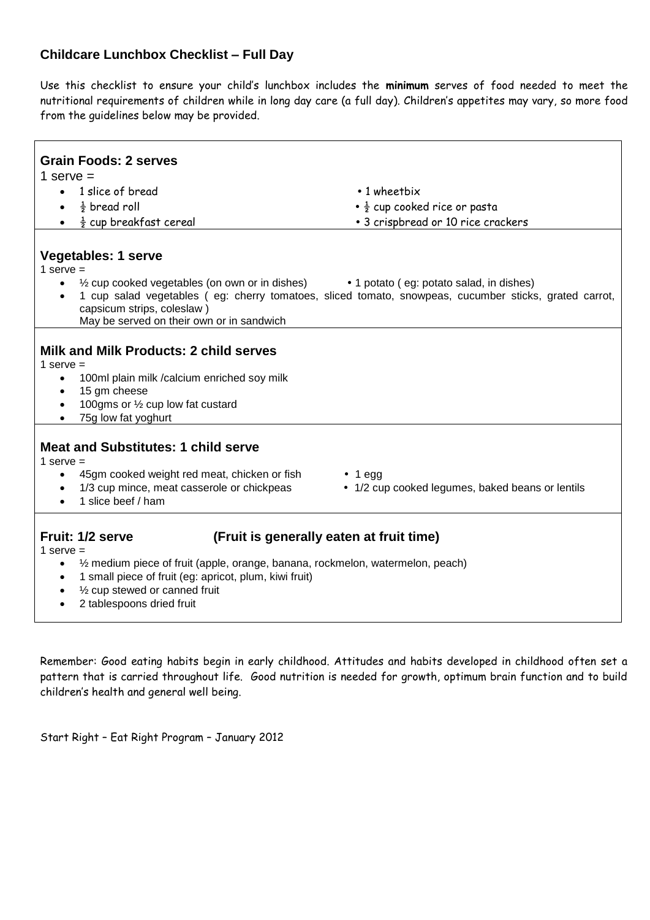# **Childcare Lunchbox Checklist – Full Day**

Use this checklist to ensure your child's lunchbox includes the **minimum** serves of food needed to meet the nutritional requirements of children while in long day care (a full day). Children's appetites may vary, so more food from the guidelines below may be provided.

| <b>Grain Foods: 2 serves</b>                                                                                                                                                                                                                                                                                                             |                                                                   |  |  |  |
|------------------------------------------------------------------------------------------------------------------------------------------------------------------------------------------------------------------------------------------------------------------------------------------------------------------------------------------|-------------------------------------------------------------------|--|--|--|
| 1 serve $=$                                                                                                                                                                                                                                                                                                                              |                                                                   |  |  |  |
| 1 slice of bread<br>$\bullet$                                                                                                                                                                                                                                                                                                            | $\cdot$ 1 wheetbix                                                |  |  |  |
| $\frac{1}{2}$ bread roll                                                                                                                                                                                                                                                                                                                 | $\cdot \frac{1}{2}$ cup cooked rice or pasta                      |  |  |  |
| $\frac{1}{2}$ cup breakfast cereal                                                                                                                                                                                                                                                                                                       | • 3 crispbread or 10 rice crackers                                |  |  |  |
|                                                                                                                                                                                                                                                                                                                                          |                                                                   |  |  |  |
| <b>Vegetables: 1 serve</b><br>1 serve $=$<br>$\frac{1}{2}$ cup cooked vegetables (on own or in dishes)<br>• 1 potato (eg: potato salad, in dishes)<br>$\bullet$<br>1 cup salad vegetables (eg: cherry tomatoes, sliced tomato, snowpeas, cucumber sticks, grated carrot,<br>$\bullet$                                                    |                                                                   |  |  |  |
| capsicum strips, coleslaw)                                                                                                                                                                                                                                                                                                               |                                                                   |  |  |  |
| May be served on their own or in sandwich                                                                                                                                                                                                                                                                                                |                                                                   |  |  |  |
| Milk and Milk Products: 2 child serves<br>1 serve $=$<br>100ml plain milk /calcium enriched soy milk<br>$\bullet$<br>15 gm cheese<br>$\bullet$<br>100gms or 1/2 cup low fat custard<br>$\bullet$<br>75g low fat yoghurt<br>$\bullet$                                                                                                     |                                                                   |  |  |  |
| <b>Meat and Substitutes: 1 child serve</b><br>1 serve $=$<br>45gm cooked weight red meat, chicken or fish<br>$\bullet$<br>1/3 cup mince, meat casserole or chickpeas<br>1 slice beef / ham                                                                                                                                               | $\cdot$ 1 egg<br>• 1/2 cup cooked legumes, baked beans or lentils |  |  |  |
| Fruit: 1/2 serve<br>(Fruit is generally eaten at fruit time)<br>1 serve $=$<br>$\frac{1}{2}$ medium piece of fruit (apple, orange, banana, rockmelon, watermelon, peach)<br>$\bullet$<br>1 small piece of fruit (eg: apricot, plum, kiwi fruit)<br>$\bullet$<br>1/2 cup stewed or canned fruit<br>2 tablespoons dried fruit<br>$\bullet$ |                                                                   |  |  |  |

Remember: Good eating habits begin in early childhood. Attitudes and habits developed in childhood often set a pattern that is carried throughout life. Good nutrition is needed for growth, optimum brain function and to build children's health and general well being.

Start Right – Eat Right Program – January 2012